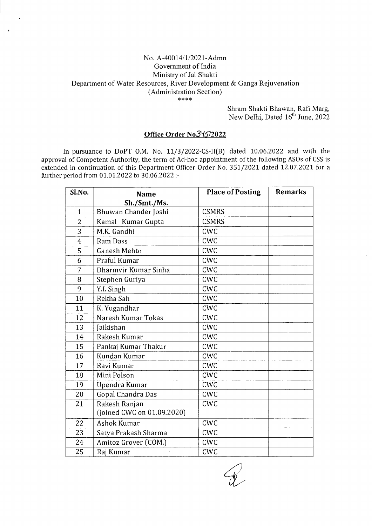## No. A-40014/1/2021-Admn Government of India Ministry of Jal Shakti Department of Water Resources, River Development & Ganga Rejuvenation (Administration Section) \*\*\*\*

Shram Shakti Bhawan, Rafi Marg, New Delhi, Dated 16<sup>th</sup> June, 2022

## Office Order No34572022

In pursuance to DoPT O.M. No.  $11/3/2022$ -CS-II(B) dated 10.06.2022 and with the approval of Competent Authority, the term of Ad-hoc appointment of the following ASOs of CSS is extended in continuation of this Department Officer Order No. 351/2021 dated 12.07.2021 for a further period from 01.01.2022 to 30.06.2022 :-

| Sl.No.         | <b>Name</b>                | <b>Place of Posting</b> | <b>Remarks</b> |
|----------------|----------------------------|-------------------------|----------------|
|                | Sh./Smt./Ms.               |                         |                |
| $\mathbf{1}$   | Bhuwan Chander Joshi       | <b>CSMRS</b>            |                |
| $\overline{2}$ | Kamal Kumar Gupta          | <b>CSMRS</b>            |                |
| $\overline{3}$ | M.K. Gandhi                | CWC                     |                |
| $\overline{4}$ | Ram Dass                   | <b>CWC</b>              |                |
| 5              | Ganesh Mehto               | <b>CWC</b>              |                |
| 6              | Praful Kumar               | <b>CWC</b>              |                |
| 7              | Dharmvir Kumar Sinha       | <b>CWC</b>              |                |
| 8              | Stephen Guriya             | <b>CWC</b>              |                |
| 9              | Y.I. Singh                 | CWC                     |                |
| 10             | Rekha Sah                  | <b>CWC</b>              |                |
| 11             | K. Yugandhar               | <b>CWC</b>              |                |
| 12             | Naresh Kumar Tokas         | <b>CWC</b>              |                |
| 13             | <b>Jaikishan</b>           | CWC                     |                |
| 14             | Rakesh Kumar               | CWC                     |                |
| 15             | Pankaj Kumar Thakur        | <b>CWC</b>              |                |
| 16             | Kundan Kumar               | <b>CWC</b>              |                |
| 17             | Ravi Kumar                 | <b>CWC</b>              |                |
| 18             | Mini Polson                | <b>CWC</b>              |                |
| 19             | Upendra Kumar              | <b>CWC</b>              |                |
| 20             | Gopal Chandra Das          | <b>CWC</b>              |                |
| 21             | Rakesh Ranjan              | CWC                     |                |
|                | (joined CWC on 01.09.2020) |                         |                |
| 22             | Ashok Kumar                | CWC                     |                |
| 23             | Satya Prakash Sharma       | <b>CWC</b>              |                |
| 24             | Amitoz Grover (COM.)       | CWC                     |                |
| 25             | Raj Kumar                  | CWC                     |                |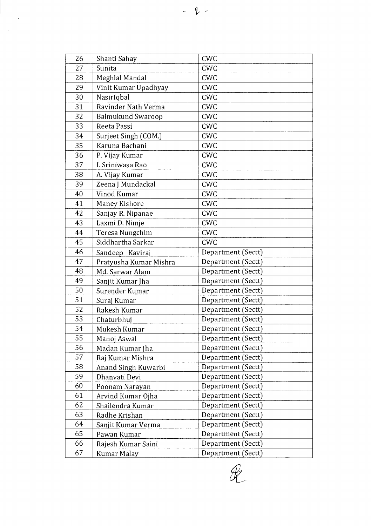| 26 | Shanti Sahay           | <b>CWC</b>         |
|----|------------------------|--------------------|
| 27 | Sunita                 | <b>CWC</b>         |
| 28 | Meghlal Mandal         | <b>CWC</b>         |
| 29 | Vinit Kumar Upadhyay   | <b>CWC</b>         |
| 30 | NasirIqbal             | <b>CWC</b>         |
| 31 | Ravinder Nath Verma    | <b>CWC</b>         |
| 32 | Balmukund Swaroop      | <b>CWC</b>         |
| 33 | Reeta Passi            | <b>CWC</b>         |
| 34 | Surjeet Singh (COM.)   | CWC                |
| 35 | Karuna Bachani         | <b>CWC</b>         |
| 36 | P. Vijay Kumar         | <b>CWC</b>         |
| 37 | I. Sriniwasa Rao       | <b>CWC</b>         |
| 38 | A. Vijay Kumar         | <b>CWC</b>         |
| 39 | Zeena J Mundackal      | <b>CWC</b>         |
| 40 | Vinod Kumar            | <b>CWC</b>         |
| 41 | Maney Kishore          | <b>CWC</b>         |
| 42 | Sanjay R. Nipanae      | CW <sub>C</sub>    |
| 43 | Laxmi D. Nimje         | <b>CWC</b>         |
| 44 | Teresa Nungchim        | <b>CWC</b>         |
| 45 | Siddhartha Sarkar      | <b>CWC</b>         |
| 46 | Sandeep Kaviraj        | Department (Sectt) |
| 47 | Pratyusha Kumar Mishra | Department (Sectt) |
| 48 | Md. Sarwar Alam        | Department (Sectt) |
| 49 | Sanjit Kumar Jha       | Department (Sectt) |
| 50 | Surender Kumar         | Department (Sectt) |
| 51 | Suraj Kumar            | Department (Sectt) |
| 52 | Rakesh Kumar           | Department (Sectt) |
| 53 | Chaturbhuj             | Department (Sectt) |
| 54 | Mukesh Kumar           | Department (Sectt) |
| 55 | Manoj Aswal            | Department (Sectt) |
| 56 | Madan Kumar Jha        | Department (Sectt) |
| 57 | Raj Kumar Mishra       | Department (Sectt) |
| 58 | Anand Singh Kuwarbi    | Department (Sectt) |
| 59 | Dhanvati Devi          | Department (Sectt) |
| 60 | Poonam Narayan         | Department (Sectt) |
| 61 | Arvind Kumar Ojha      | Department (Sectt) |
| 62 | Shailendra Kumar       | Department (Sectt) |
| 63 | Radhe Krishan          | Department (Sectt) |
| 64 | Sanjit Kumar Verma     | Department (Sectt) |
| 65 | Pawan Kumar            | Department (Sectt) |
| 66 | Rajesh Kumar Saini     | Department (Sectt) |
| 67 | Kumar Malay            | Department (Sectt) |

 $\mathscr{R}$ 

 $\hat{\mathbf{v}}$